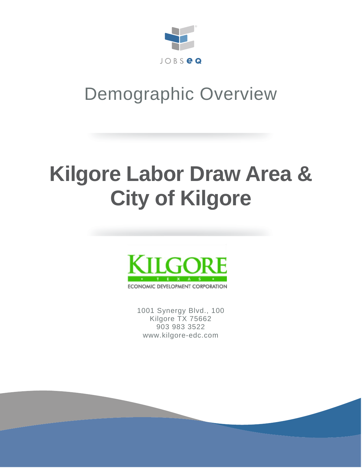

## Demographic Overview

# **Kilgore Labor Draw Area & City of Kilgore**



1001 Synergy Blvd., 100 Kilgore TX 75662 903 983 3522 www.kilgore-edc.com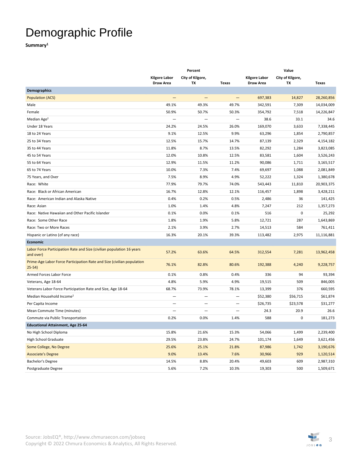### Demographic Profile

**Summary1**

|                                                                                     | Percent                                  |                          | Value                    |                                   |                        |              |
|-------------------------------------------------------------------------------------|------------------------------------------|--------------------------|--------------------------|-----------------------------------|------------------------|--------------|
|                                                                                     | <b>Kilgore Labor</b><br><b>Draw Area</b> | City of Kilgore,<br>TX   | <b>Texas</b>             | <b>Kilgore Labor</b><br>Draw Area | City of Kilgore,<br>TX | <b>Texas</b> |
| <b>Demographics</b>                                                                 |                                          |                          |                          |                                   |                        |              |
| <b>Population (ACS)</b>                                                             | -                                        | $\qquad \qquad -$        | $\qquad \qquad -$        | 697,383                           | 14,827                 | 28,260,856   |
| Male                                                                                | 49.1%                                    | 49.3%                    | 49.7%                    | 342,591                           | 7,309                  | 14,034,009   |
| Female                                                                              | 50.9%                                    | 50.7%                    | 50.3%                    | 354,792                           | 7,518                  | 14,226,847   |
| Median Age <sup>2</sup>                                                             |                                          | $\overline{\phantom{0}}$ |                          | 38.6                              | 33.1                   | 34.6         |
| Under 18 Years                                                                      | 24.2%                                    | 24.5%                    | 26.0%                    | 169,070                           | 3,633                  | 7,338,445    |
| 18 to 24 Years                                                                      | 9.1%                                     | 12.5%                    | 9.9%                     | 63,296                            | 1,854                  | 2,790,857    |
| 25 to 34 Years                                                                      | 12.5%                                    | 15.7%                    | 14.7%                    | 87,139                            | 2,329                  | 4,154,182    |
| 35 to 44 Years                                                                      | 11.8%                                    | 8.7%                     | 13.5%                    | 82,292                            | 1,284                  | 3,823,085    |
| 45 to 54 Years                                                                      | 12.0%                                    | 10.8%                    | 12.5%                    | 83,581                            | 1,604                  | 3,526,243    |
| 55 to 64 Years                                                                      | 12.9%                                    | 11.5%                    | 11.2%                    | 90,086                            | 1,711                  | 3,165,517    |
| 65 to 74 Years                                                                      | 10.0%                                    | 7.3%                     | 7.4%                     | 69,697                            | 1,088                  | 2,081,849    |
| 75 Years, and Over                                                                  | 7.5%                                     | 8.9%                     | 4.9%                     | 52,222                            | 1,324                  | 1,380,678    |
| Race: White                                                                         | 77.9%                                    | 79.7%                    | 74.0%                    | 543,443                           | 11,810                 | 20,903,375   |
| Race: Black or African American                                                     | 16.7%                                    | 12.8%                    | 12.1%                    | 116,457                           | 1,898                  | 3,428,211    |
| Race: American Indian and Alaska Native                                             | 0.4%                                     | 0.2%                     | 0.5%                     | 2,486                             | 36                     | 141,425      |
| Race: Asian                                                                         | 1.0%                                     | 1.4%                     | 4.8%                     | 7,247                             | 212                    | 1,357,273    |
| Race: Native Hawaiian and Other Pacific Islander                                    | 0.1%                                     | 0.0%                     | 0.1%                     | 516                               | 0                      | 25,292       |
| Race: Some Other Race                                                               | 1.8%                                     | 1.9%                     | 5.8%                     | 12,721                            | 287                    | 1,643,869    |
| Race: Two or More Races                                                             | 2.1%                                     | 3.9%                     | 2.7%                     | 14,513                            | 584                    | 761,411      |
| Hispanic or Latino (of any race)                                                    | 16.3%                                    | 20.1%                    | 39.3%                    | 113,482                           | 2,975                  | 11,116,881   |
| Economic                                                                            |                                          |                          |                          |                                   |                        |              |
| Labor Force Participation Rate and Size (civilian population 16 years<br>and over)  | 57.2%                                    | 63.6%                    | 64.5%                    | 312,554                           | 7,281                  | 13,962,458   |
| Prime-Age Labor Force Participation Rate and Size (civilian population<br>$25 - 54$ | 76.1%                                    | 82.8%                    | 80.6%                    | 192,388                           | 4,240                  | 9,228,757    |
| Armed Forces Labor Force                                                            | 0.1%                                     | 0.8%                     | 0.4%                     | 336                               | 94                     | 93,394       |
| Veterans, Age 18-64                                                                 | 4.8%                                     | 5.9%                     | 4.9%                     | 19,515                            | 509                    | 846,005      |
| Veterans Labor Force Participation Rate and Size, Age 18-64                         | 68.7%                                    | 73.9%                    | 78.1%                    | 13,399                            | 376                    | 660,595      |
| Median Household Income <sup>2</sup>                                                | $\overline{\phantom{0}}$                 | $\overline{\phantom{0}}$ | $\overline{\phantom{0}}$ | \$52,380                          | \$56,715               | \$61,874     |
| Per Capita Income                                                                   |                                          | $\overline{\phantom{0}}$ | $\overline{\phantom{0}}$ | \$26,735                          | \$23,578               | \$31,277     |
| Mean Commute Time (minutes)                                                         |                                          | $\overline{\phantom{0}}$ | $\overline{\phantom{0}}$ | 24.3                              | 20.9                   | 26.6         |
| Commute via Public Transportation                                                   | 0.2%                                     | 0.0%                     | 1.4%                     | 588                               | 0                      | 181,273      |
| <b>Educational Attainment, Age 25-64</b>                                            |                                          |                          |                          |                                   |                        |              |
| No High School Diploma                                                              | 15.8%                                    | 21.6%                    | 15.3%                    | 54,066                            | 1,499                  | 2,239,400    |
| <b>High School Graduate</b>                                                         | 29.5%                                    | 23.8%                    | 24.7%                    | 101,174                           | 1,649                  | 3,621,456    |
| Some College, No Degree                                                             | 25.6%                                    | 25.1%                    | 21.8%                    | 87,986                            | 1,742                  | 3,190,676    |
| <b>Associate's Degree</b>                                                           | 9.0%                                     | 13.4%                    | 7.6%                     | 30,966                            | 929                    | 1,120,514    |
| Bachelor's Degree                                                                   | 14.5%                                    | 8.8%                     | 20.4%                    | 49,603                            | 609                    | 2,987,310    |
| Postgraduate Degree                                                                 | 5.6%                                     | 7.2%                     | 10.3%                    | 19,303                            | 500                    | 1,509,671    |

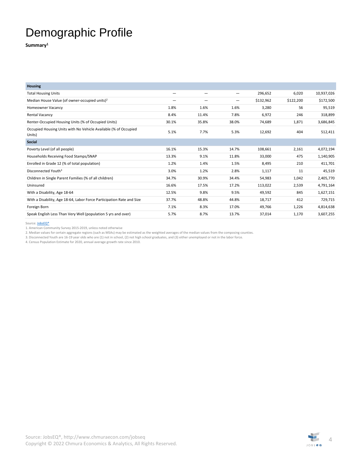#### Demographic Profile

**Summary1**

| <b>Housing</b>                                                            |       |       |       |           |           |            |
|---------------------------------------------------------------------------|-------|-------|-------|-----------|-----------|------------|
| <b>Total Housing Units</b>                                                |       | -     |       | 296,652   | 6,020     | 10,937,026 |
| Median House Value (of owner-occupied units) <sup>2</sup>                 |       | -     |       | \$132,962 | \$122,200 | \$172,500  |
| Homeowner Vacancy                                                         | 1.8%  | 1.6%  | 1.6%  | 3,280     | 56        | 95,519     |
| <b>Rental Vacancy</b>                                                     | 8.4%  | 11.4% | 7.8%  | 6,972     | 246       | 318,899    |
| Renter-Occupied Housing Units (% of Occupied Units)                       | 30.1% | 35.8% | 38.0% | 74,689    | 1,871     | 3,686,845  |
| Occupied Housing Units with No Vehicle Available (% of Occupied<br>Units) | 5.1%  | 7.7%  | 5.3%  | 12,692    | 404       | 512,411    |
| <b>Social</b>                                                             |       |       |       |           |           |            |
| Poverty Level (of all people)                                             | 16.1% | 15.3% | 14.7% | 108,661   | 2,161     | 4,072,194  |
| Households Receiving Food Stamps/SNAP                                     | 13.3% | 9.1%  | 11.8% | 33,000    | 475       | 1,140,905  |
| Enrolled in Grade 12 (% of total population)                              | 1.2%  | 1.4%  | 1.5%  | 8,495     | 210       | 411,701    |
| Disconnected Youth <sup>3</sup>                                           | 3.0%  | 1.2%  | 2.8%  | 1,117     | 11        | 45,519     |
| Children in Single Parent Families (% of all children)                    | 34.7% | 30.9% | 34.4% | 54,983    | 1,042     | 2,405,770  |
| Uninsured                                                                 | 16.6% | 17.5% | 17.2% | 113,022   | 2,539     | 4,791,164  |
| With a Disability, Age 18-64                                              | 12.5% | 9.8%  | 9.5%  | 49,592    | 845       | 1,627,151  |
| With a Disability, Age 18-64, Labor Force Participation Rate and Size     | 37.7% | 48.8% | 44.8% | 18,717    | 412       | 729,715    |
| Foreign Born                                                              | 7.1%  | 8.3%  | 17.0% | 49,766    | 1,226     | 4,814,638  |
| Speak English Less Than Very Well (population 5 yrs and over)             | 5.7%  | 8.7%  | 13.7% | 37,014    | 1,170     | 3,607,255  |

Source: **JobsEQ®** 

1. American Community Survey 2015-2019, unless noted otherwise

2. Median values for certain aggregate regions (such as MSAs) may be estimated as the weighted averages of the median values from the composing counties.

3. Disconnected Youth are 16-19 year olds who are (1) not in school, (2) not high school graduates, and (3) either unemployed or not in the labor force.

4. Census Population Estimate for 2020, annual average growth rate since 2010.

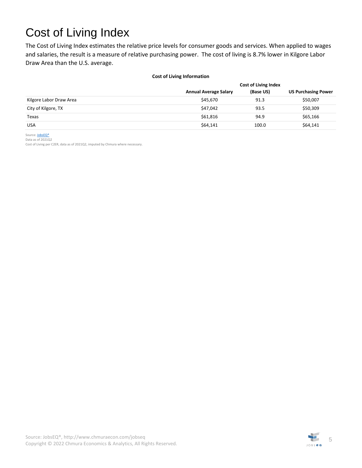### Cost of Living Index

The Cost of Living Index estimates the relative price levels for consumer goods and services. When applied to wages and salaries, the result is a measure of relative purchasing power. The cost of living is 8.7% lower in Kilgore Labor Draw Area than the U.S. average.

#### **Cost of Living Information**

|                         | <b>Cost of Living Index</b>  |           |                            |  |
|-------------------------|------------------------------|-----------|----------------------------|--|
|                         | <b>Annual Average Salary</b> | (Base US) | <b>US Purchasing Power</b> |  |
| Kilgore Labor Draw Area | \$45,670                     | 91.3      | \$50,007                   |  |
| City of Kilgore, TX     | \$47,042                     | 93.5      | \$50,309                   |  |
| Texas                   | \$61,816                     | 94.9      | \$65,166                   |  |
| <b>USA</b>              | \$64,141                     | 100.0     | \$64,141                   |  |

Source: **JobsEQ®** Data as of 2021Q2

Cost of Living per C2ER, data as of 2021Q2, imputed by Chmura where necessary.